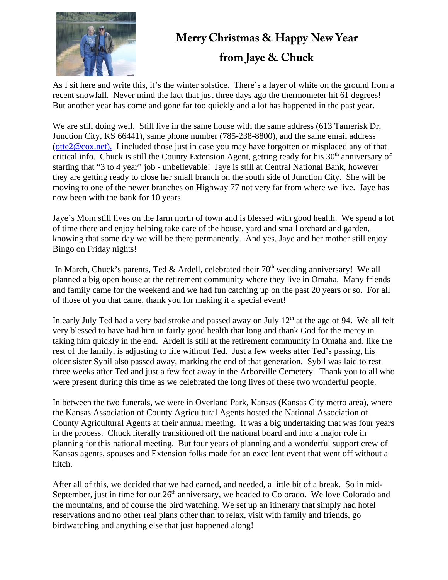

## **Merry Christmas & Happy New Year from Jaye & Chuck**

As I sit here and write this, it's the winter solstice. There's a layer of white on the ground from a recent snowfall. Never mind the fact that just three days ago the thermometer hit 61 degrees! But another year has come and gone far too quickly and a lot has happened in the past year.

We are still doing well. Still live in the same house with the same address (613 Tamerisk Dr, Junction City, KS 66441), same phone number (785-238-8800), and the same email address (otte2@cox.net). I included those just in case you may have forgotten or misplaced any of that critical info. Chuck is still the County Extension Agent, getting ready for his  $30<sup>th</sup>$  anniversary of starting that "3 to 4 year" job - unbelievable! Jaye is still at Central National Bank, however they are getting ready to close her small branch on the south side of Junction City. She will be moving to one of the newer branches on Highway 77 not very far from where we live. Jaye has now been with the bank for 10 years.

Jaye's Mom still lives on the farm north of town and is blessed with good health. We spend a lot of time there and enjoy helping take care of the house, yard and small orchard and garden, knowing that some day we will be there permanently. And yes, Jaye and her mother still enjoy Bingo on Friday nights!

In March, Chuck's parents, Ted & Ardell, celebrated their  $70<sup>th</sup>$  wedding anniversary! We all planned a big open house at the retirement community where they live in Omaha. Many friends and family came for the weekend and we had fun catching up on the past 20 years or so. For all of those of you that came, thank you for making it a special event!

In early July Ted had a very bad stroke and passed away on July  $12<sup>th</sup>$  at the age of 94. We all felt very blessed to have had him in fairly good health that long and thank God for the mercy in taking him quickly in the end. Ardell is still at the retirement community in Omaha and, like the rest of the family, is adjusting to life without Ted. Just a few weeks after Ted's passing, his older sister Sybil also passed away, marking the end of that generation. Sybil was laid to rest three weeks after Ted and just a few feet away in the Arborville Cemetery. Thank you to all who were present during this time as we celebrated the long lives of these two wonderful people.

In between the two funerals, we were in Overland Park, Kansas (Kansas City metro area), where the Kansas Association of County Agricultural Agents hosted the National Association of County Agricultural Agents at their annual meeting. It was a big undertaking that was four years in the process. Chuck literally transitioned off the national board and into a major role in planning for this national meeting. But four years of planning and a wonderful support crew of Kansas agents, spouses and Extension folks made for an excellent event that went off without a hitch.

After all of this, we decided that we had earned, and needed, a little bit of a break. So in mid-September, just in time for our 26<sup>th</sup> anniversary, we headed to Colorado. We love Colorado and the mountains, and of course the bird watching. We set up an itinerary that simply had hotel reservations and no other real plans other than to relax, visit with family and friends, go birdwatching and anything else that just happened along!